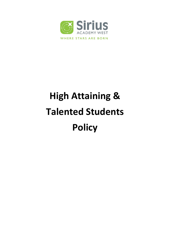

# **High Attaining & Talented Students Policy**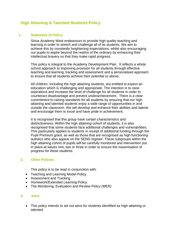# **High Attaining & Talented Students Policy**

#### **1. Statement of Policy**

Sirius Academy West endeavours to provide high quality teaching and learning in order to stretch and challenge all of its students. We aim to achieve this by constantly heightening expectations, whilst also encouraging our pupils to aspire beyond the realms of the ordinary by enhancing their intellectual bravery so that they make rapid progress.

This policy is integral to the Academy Development Plan. It reflects a whole school approach to improving provision for all students through effective teaching and learning, tracking and assessment and a personalised approach to ensure that all students achieve their potential or above.

All children, including the high attaining students, are entitled to expect an education which is challenging and appropriate. The intention is to raise aspirations and increase the level of challenge for all students in order to counteract disadvantage and prevent underachievement. There is a clear commitment to raising standards for all students by ensuring that our high attaining and talented students enjoy a wide range of opportunities in and outside the classroom. We will develop and enhance their abilities and talents and encourage them to excel and have pride in achievement.

It is recognised that this group have certain characteristics and distinctiveness. Within the high attaining cohort of students, it is also recognised that some students face additional challenges and vulnerabilities. This particularly applies to students in receipt of additional funding through the Pupil Premium grant, as well as those that are recognised as high functioning autistics who also appear on the SEND register. These subgroups within the high attaining cohort of pupils will be carefully monitored and intervention put in place at waves one, two or three in order to ensure the maximisation of progress for these students.

# **2. Other Policies**

This policy is to be read in conjunction with:

- Teaching and Learning Model Policy
- Assessment and Tracking
- Homework/Extended Learning Policy
- The Monitoring, Evaluation and Review Policy (MER)

#### **3. Aims**

 This policy intends to set out aims for students identified as high attaining or talented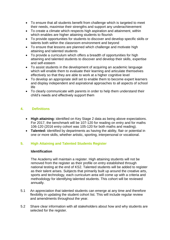- To ensure that all students benefit from challenge which is targeted to meet their needs, maximise their strengths and support any underachievement
- To create a climate which respects high aspiration and attainment, within which enables are higher attaining students to flourish
- To provide opportunities for students to discover and develop specific skills or talents both within the classroom environment and beyond
- To ensure that lessons are planned which challenge and motivate high attaining and talented students
- To provide a curriculum which offers a breadth of opportunities for high attaining and talented students to discover and develop their skills, expertise and self-esteem
- To assist students in the development of acquiring an academic language which will enable them to evaluate their learning and articulate themselves effectively so that they are able to work at a higher cognitive level
- To develop an appropriate skill set to enable them to become expert learners and display independent and aspirational approaches to all aspects of school life
- To clearly communicate with parents in order to help them understand their child's needs and effectively support them

# **4. Definitions**

- **High attaining:** identified on Key Stage 2 data as being above expectations. For 2017, the benchmark will be 107-120 for reading on entry and for maths 106-120 (2016 entry cohort was 105-120 for both maths and reading).
- **Talented:** identified by departments as having the ability, flair or potential in one or more skills, whether artistic, sporting, interpersonal or vocational.

# **5. High Attaining and Talented Students Register**

#### **Identification**

The Academy will maintain a register. High attaining students will not be removed from the register as their profile on entry established through national testing at the end of KS2. Talented students will be added to register as their talent arises. Subjects that primarily built up around the creative arts, sports and technology, each curriculum area will come up with a criteria and methodology for identifying talented students. This cohort will be reviewed annually.

- 5.1 An appreciation that talented students can emerge at any time and therefore flexibility in updating the student cohort list. This will include regular review and amendments throughout the year.
- 5.2 Share clear information with all stakeholders about how and why students are selected for the register.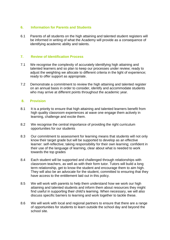#### **6. Information for Parents and Students**

6.1 Parents of all students on the high attaining and talented student registers will be informed in writing of what the Academy will provide as a consequence of identifying academic ability and talents.

#### **7. Review of Identification Process**

- 7.1 We recognise the complexity of accurately identifying high attaining and talented learners and so plan to keep our processes under review; ready to adjust the weighting we allocate to different criteria in the light of experience; ready to offer support as appropriate.
- 7.2 Demonstrate a commitment to review the high attaining and talented register on an annual basis in order to consider, identify and accommodate students who may arrive at different points throughout the academic year.

#### **8. Provision**

- 8.1 It is a priority to ensure that high attaining and talented learners benefit from high quality classroom experiences at wave one engage them actively in learning, challenge and excite them.
- 8.2 We recognise the central importance of providing the right curriculum opportunities for our students
- 8.3 Our commitment to assessment for learning means that students will not only know their target grade but will be supported to develop as an effective learner: self-reflective; taking responsibility for their own learning; confident in their use of the language of learning, clear about what is needed to work towards the top grades
- 8.4 Each student will be supported and challenged through relationships with classroom teachers, as well as with their form tutor. Tutors will build a long term relationship, get to know the student and encourage them to aim high. They will also be an advocate for the student, committed to ensuring that they have access to the entitlement laid out in this policy.
- 8.5 We will work with parents to help them understand how we work our high attaining and talented students and inform them about resources they might find useful in supporting their child's learning. When necessary, we will also discuss specific barriers to learning and work together to tackle these.
- 8.6 We will work with local and regional partners to ensure that there are a range of opportunities for students to learn outside the school day and beyond the school site.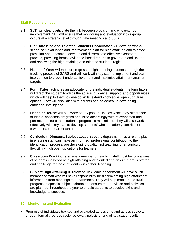### **Staff Responsibilities**

- 9.1 **SLT:** will clearly articulate the link between provision and whole-school improvement. SLT will ensure that monitoring and evaluation if this group occurs at a strategic level through data meetings and 360s.
- 9.2 **High Attaining and Talented Students Coordinator**: will develop wholeschool self-evaluation and improvement, plan for high attaining and talented provision and outcomes; develop and disseminate effective classroom practice, providing formal, evidence-based reports to governors and update and reviewing the high attaining and talented students register.
- 9.3 **Heads of Year:** will monitor progress of high attaining students through the tracking process of SARS and will work with key staff to implement and plan intervention to prevent underachievement and maximise attainment against targets.
- 9.4 **Form Tutor:** acting as an advocate for the individual students, the form tutors will direct the student towards the advice, guidance, support, and opportunities which will help to them to develop skills, extend knowledge, open up future options. They will also liaise with parents and be central to developing emotional intelligence.
- 9.5 **Heads of House**: will be aware of any pastoral issues which may affect their students' academic progress and liaise accordingly with relevant staff and parents to ensure that students' progress is maximised. They will also work effectively with key staff to develop students' whole academy contribution towards expert learner status.
- 9.6 **Curriculum Directors/Subject Leaders:** every department has a role to play in ensuring staff can make an informed, professional contribution to the identification process; are developing quality first teaching; offer curriculum flexibility which open up options for learners.
- 9.7 **Classroom Practitioners:** every member of teaching staff must be fully aware of students classified as high attaining and talented and ensure there is stretch and challenge for these students within their teaching.
- 9.8 **Subject High Attaining & Talented link**: each department will have a link member of staff who will have responsibility for disseminating high attainment information from meetings to departments. They will help monitor and track progress of specific subject cohorts and ensure that provision and activities are planned throughout the year to enable students to develop skills and knowledge to succeed.

# **10. Monitoring and Evaluation**

 Progress of individuals tracked and evaluated across time and across subjects through formal progress cycle reviews; analysis of end of key stage results